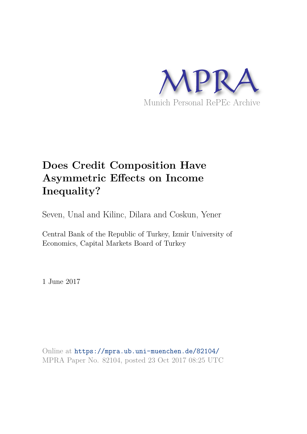

# **Does Credit Composition Have Asymmetric Effects on Income Inequality?**

Seven, Unal and Kilinc, Dilara and Coskun, Yener

Central Bank of the Republic of Turkey, Izmir University of Economics, Capital Markets Board of Turkey

1 June 2017

Online at https://mpra.ub.uni-muenchen.de/82104/ MPRA Paper No. 82104, posted 23 Oct 2017 08:25 UTC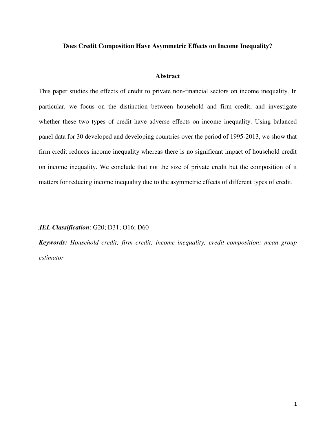## **Does Credit Composition Have Asymmetric Effects on Income Inequality?**

## **Abstract**

This paper studies the effects of credit to private non-financial sectors on income inequality. In particular, we focus on the distinction between household and firm credit, and investigate whether these two types of credit have adverse effects on income inequality. Using balanced panel data for 30 developed and developing countries over the period of 1995-2013, we show that firm credit reduces income inequality whereas there is no significant impact of household credit on income inequality. We conclude that not the size of private credit but the composition of it matters for reducing income inequality due to the asymmetric effects of different types of credit.

#### *JEL Classification*: G20; D31; O16; D60

*Keywords: Household credit; firm credit; income inequality; credit composition; mean group estimator*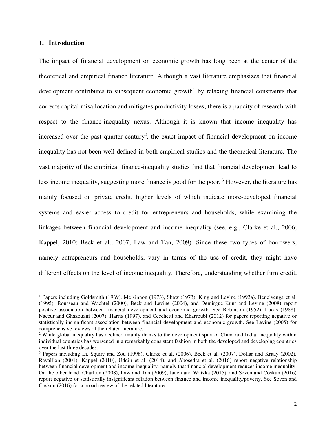#### **1. Introduction**

 $\overline{a}$ 

The impact of financial development on economic growth has long been at the center of the theoretical and empirical finance literature. Although a vast literature emphasizes that financial development contributes to subsequent economic growth<sup>1</sup> by relaxing financial constraints that corrects capital misallocation and mitigates productivity losses, there is a paucity of research with respect to the finance-inequality nexus. Although it is known that income inequality has increased over the past quarter-century<sup>2</sup>, the exact impact of financial development on income inequality has not been well defined in both empirical studies and the theoretical literature. The vast majority of the empirical finance-inequality studies find that financial development lead to less income inequality, suggesting more finance is good for the poor.<sup>3</sup> However, the literature has mainly focused on private credit, higher levels of which indicate more-developed financial systems and easier access to credit for entrepreneurs and households, while examining the linkages between financial development and income inequality (see, e.g., Clarke et al., 2006; Kappel, 2010; Beck et al., 2007; Law and Tan, 2009). Since these two types of borrowers, namely entrepreneurs and households, vary in terms of the use of credit, they might have different effects on the level of income inequality. Therefore, understanding whether firm credit,

<sup>&</sup>lt;sup>1</sup> Papers including Goldsmith (1969), McKinnon (1973), Shaw (1973), King and Levine (1993a), Bencivenga et al. (1995), Rousseau and Wachtel (2000), Beck and Levine (2004), and Demirguc-Kunt and Levine (2008) report positive association between financial development and economic growth. See Robinson (1952), Lucas (1988), Naceur and Ghazouani (2007), Harris (1997), and Cecchetti and Kharroubi (2012) for papers reporting negative or statistically insignificant association between financial development and economic growth. See Levine (2005) for comprehensive reviews of the related literature.

 $2$  While global inequality has declined mainly thanks to the development spurt of China and India, inequality within individual countries has worsened in a remarkably consistent fashion in both the developed and developing countries over the last three decades.

<sup>&</sup>lt;sup>3</sup> Papers including Li, Squire and Zou (1998), Clarke et al. (2006), Beck et al. (2007), Dollar and Kraay (2002), Ravallion (2001), Kappel (2010), Uddin et al. (2014), and Abosedra et al. (2016) report negative relationship between financial development and income inequality, namely that financial development reduces income inequality. On the other hand, Charlton (2008), Law and Tan (2009), Jauch and Watzka (2015), and Seven and Coskun (2016) report negative or statistically insignificant relation between finance and income inequality/poverty. See Seven and Coskun (2016) for a broad review of the related literature.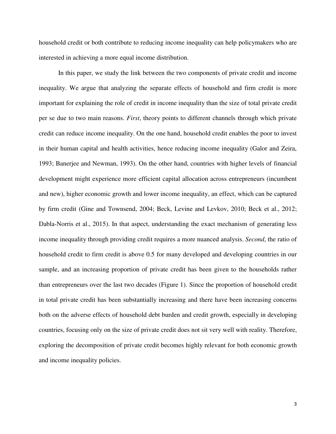household credit or both contribute to reducing income inequality can help policymakers who are interested in achieving a more equal income distribution.

In this paper, we study the link between the two components of private credit and income inequality. We argue that analyzing the separate effects of household and firm credit is more important for explaining the role of credit in income inequality than the size of total private credit per se due to two main reasons. *First*, theory points to different channels through which private credit can reduce income inequality. On the one hand, household credit enables the poor to invest in their human capital and health activities, hence reducing income inequality (Galor and Zeira, 1993; Banerjee and Newman, 1993). On the other hand, countries with higher levels of financial development might experience more efficient capital allocation across entrepreneurs (incumbent and new), higher economic growth and lower income inequality, an effect, which can be captured by firm credit (Gine and Townsend, 2004; Beck, Levine and Levkov, 2010; Beck et al., 2012; Dabla-Norris et al., 2015). In that aspect, understanding the exact mechanism of generating less income inequality through providing credit requires a more nuanced analysis. *Second*, the ratio of household credit to firm credit is above 0.5 for many developed and developing countries in our sample, and an increasing proportion of private credit has been given to the households rather than entrepreneurs over the last two decades (Figure 1). Since the proportion of household credit in total private credit has been substantially increasing and there have been increasing concerns both on the adverse effects of household debt burden and credit growth, especially in developing countries, focusing only on the size of private credit does not sit very well with reality. Therefore, exploring the decomposition of private credit becomes highly relevant for both economic growth and income inequality policies.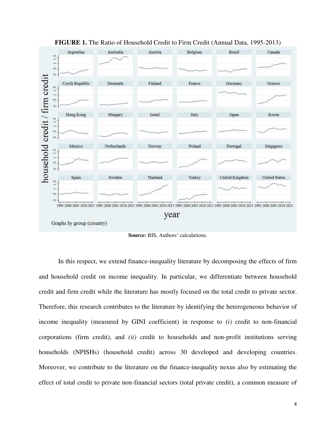

**FIGURE 1.** The Ratio of Household Credit to Firm Credit (Annual Data, 1995-2013)

**Source:** BIS, Authors' calculations.

In this respect, we extend finance-inequality literature by decomposing the effects of firm and household credit on income inequality. In particular, we differentiate between household credit and firm credit while the literature has mostly focused on the total credit to private sector. Therefore, this research contributes to the literature by identifying the heterogeneous behavior of income inequality (measured by GINI coefficient) in response to *(i)* credit to non-financial corporations (firm credit), and *(ii)* credit to households and non-profit institutions serving households (NPISHs) (household credit) across 30 developed and developing countries. Moreover, we contribute to the literature on the finance-inequality nexus also by estimating the effect of total credit to private non-financial sectors (total private credit), a common measure of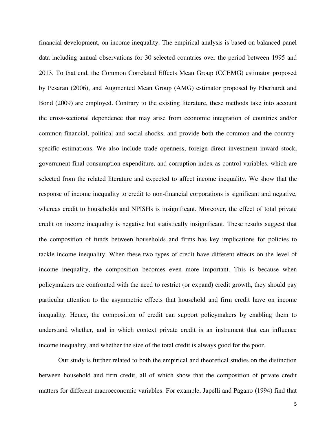financial development, on income inequality. The empirical analysis is based on balanced panel data including annual observations for 30 selected countries over the period between 1995 and 2013. To that end, the Common Correlated Effects Mean Group (CCEMG) estimator proposed by Pesaran (2006), and Augmented Mean Group (AMG) estimator proposed by Eberhardt and Bond (2009) are employed. Contrary to the existing literature, these methods take into account the cross-sectional dependence that may arise from economic integration of countries and/or common financial, political and social shocks, and provide both the common and the countryspecific estimations. We also include trade openness, foreign direct investment inward stock, government final consumption expenditure, and corruption index as control variables, which are selected from the related literature and expected to affect income inequality. We show that the response of income inequality to credit to non-financial corporations is significant and negative, whereas credit to households and NPISHs is insignificant. Moreover, the effect of total private credit on income inequality is negative but statistically insignificant. These results suggest that the composition of funds between households and firms has key implications for policies to tackle income inequality. When these two types of credit have different effects on the level of income inequality, the composition becomes even more important. This is because when policymakers are confronted with the need to restrict (or expand) credit growth, they should pay particular attention to the asymmetric effects that household and firm credit have on income inequality. Hence, the composition of credit can support policymakers by enabling them to understand whether, and in which context private credit is an instrument that can influence income inequality, and whether the size of the total credit is always good for the poor.

Our study is further related to both the empirical and theoretical studies on the distinction between household and firm credit, all of which show that the composition of private credit matters for different macroeconomic variables. For example, Japelli and Pagano (1994) find that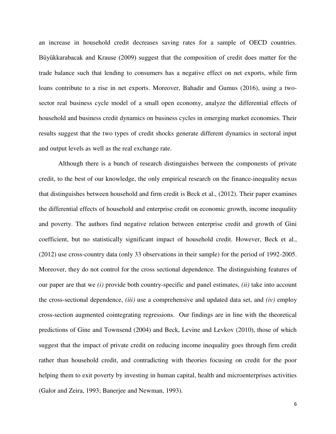an increase in household credit decreases saving rates for a sample of OECD countries. Büyükkarabacak and Krause (2009) suggest that the composition of credit does matter for the trade balance such that lending to consumers has a negative effect on net exports, while firm loans contribute to a rise in net exports. Moreover, Bahadir and Gumus (2016), using a twosector real business cycle model of a small open economy, analyze the differential effects of household and business credit dynamics on business cycles in emerging market economies. Their results suggest that the two types of credit shocks generate different dynamics in sectoral input and output levels as well as the real exchange rate.

Although there is a bunch of research distinguishes between the components of private credit, to the best of our knowledge, the only empirical research on the finance-inequality nexus that distinguishes between household and firm credit is Beck et al., (2012). Their paper examines the differential effects of household and enterprise credit on economic growth, income inequality and poverty. The authors find negative relation between enterprise credit and growth of Gini coefficient, but no statistically significant impact of household credit. However, Beck et al., (2012) use cross-country data (only 33 observations in their sample) for the period of 1992-2005. Moreover, they do not control for the cross sectional dependence. The distinguishing features of our paper are that we *(i)* provide both country-specific and panel estimates, *(ii)* take into account the cross-sectional dependence, *(iii)* use a comprehensive and updated data set, and *(iv)* employ cross-section augmented cointegrating regressions. Our findings are in line with the theoretical predictions of Gine and Townsend (2004) and Beck, Levine and Levkov (2010), those of which suggest that the impact of private credit on reducing income inequality goes through firm credit rather than household credit, and contradicting with theories focusing on credit for the poor helping them to exit poverty by investing in human capital, health and microenterprises activities (Galor and Zeira, 1993; Banerjee and Newman, 1993).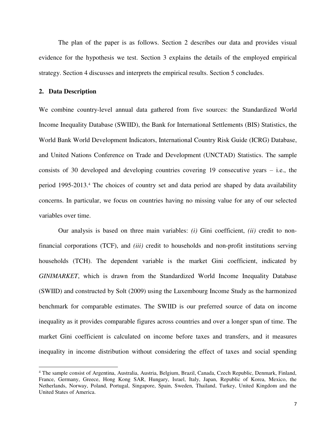The plan of the paper is as follows. Section 2 describes our data and provides visual evidence for the hypothesis we test. Section 3 explains the details of the employed empirical strategy. Section 4 discusses and interprets the empirical results. Section 5 concludes.

## **2. Data Description**

 $\overline{a}$ 

We combine country-level annual data gathered from five sources: the Standardized World Income Inequality Database (SWIID), the Bank for International Settlements (BIS) Statistics, the World Bank World Development Indicators, International Country Risk Guide (ICRG) Database, and United Nations Conference on Trade and Development (UNCTAD) Statistics. The sample consists of 30 developed and developing countries covering 19 consecutive years – i.e., the period 1995-2013.<sup>4</sup> The choices of country set and data period are shaped by data availability concerns. In particular, we focus on countries having no missing value for any of our selected variables over time.

Our analysis is based on three main variables: *(i)* Gini coefficient, *(ii)* credit to nonfinancial corporations (TCF), and *(iii)* credit to households and non-profit institutions serving households (TCH). The dependent variable is the market Gini coefficient, indicated by *GINIMARKET*, which is drawn from the Standardized World Income Inequality Database (SWIID) and constructed by Solt (2009) using the Luxembourg Income Study as the harmonized benchmark for comparable estimates. The SWIID is our preferred source of data on income inequality as it provides comparable figures across countries and over a longer span of time. The market Gini coefficient is calculated on income before taxes and transfers, and it measures inequality in income distribution without considering the effect of taxes and social spending

<sup>4</sup> The sample consist of Argentina, Australia, Austria, Belgium, Brazil, Canada, Czech Republic, Denmark, Finland, France, Germany, Greece, Hong Kong SAR, Hungary, Israel, Italy, Japan, Republic of Korea, Mexico, the Netherlands, Norway, Poland, Portugal, Singapore, Spain, Sweden, Thailand, Turkey, United Kingdom and the United States of America.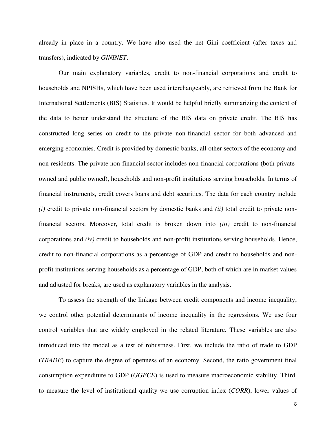already in place in a country. We have also used the net Gini coefficient (after taxes and transfers), indicated by *GININET*.

Our main explanatory variables, credit to non-financial corporations and credit to households and NPISHs, which have been used interchangeably, are retrieved from the Bank for International Settlements (BIS) Statistics. It would be helpful briefly summarizing the content of the data to better understand the structure of the BIS data on private credit. The BIS has constructed long series on credit to the private non-financial sector for both advanced and emerging economies. Credit is provided by domestic banks, all other sectors of the economy and non-residents. The private non-financial sector includes non-financial corporations (both privateowned and public owned), households and non-profit institutions serving households. In terms of financial instruments, credit covers loans and debt securities. The data for each country include *(i)* credit to private non-financial sectors by domestic banks and *(ii)* total credit to private nonfinancial sectors. Moreover, total credit is broken down into *(iii)* credit to non-financial corporations and *(iv)* credit to households and non-profit institutions serving households. Hence, credit to non-financial corporations as a percentage of GDP and credit to households and nonprofit institutions serving households as a percentage of GDP, both of which are in market values and adjusted for breaks, are used as explanatory variables in the analysis.

To assess the strength of the linkage between credit components and income inequality, we control other potential determinants of income inequality in the regressions. We use four control variables that are widely employed in the related literature. These variables are also introduced into the model as a test of robustness. First, we include the ratio of trade to GDP (*TRADE*) to capture the degree of openness of an economy. Second, the ratio government final consumption expenditure to GDP (*GGFCE*) is used to measure macroeconomic stability. Third, to measure the level of institutional quality we use corruption index (*CORR*), lower values of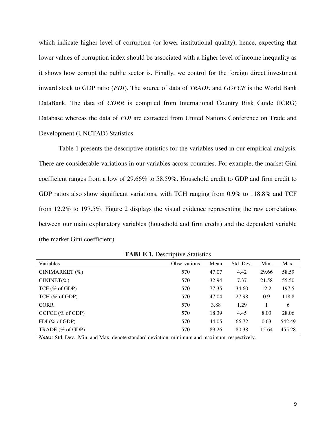which indicate higher level of corruption (or lower institutional quality), hence, expecting that lower values of corruption index should be associated with a higher level of income inequality as it shows how corrupt the public sector is. Finally, we control for the foreign direct investment inward stock to GDP ratio (*FDI*). The source of data of *TRADE* and *GGFCE* is the World Bank DataBank. The data of *CORR* is compiled from International Country Risk Guide (ICRG) Database whereas the data of *FDI* are extracted from United Nations Conference on Trade and Development (UNCTAD) Statistics.

Table 1 presents the descriptive statistics for the variables used in our empirical analysis. There are considerable variations in our variables across countries. For example, the market Gini coefficient ranges from a low of 29.66% to 58.59%. Household credit to GDP and firm credit to GDP ratios also show significant variations, with TCH ranging from 0.9% to 118.8% and TCF from 12.2% to 197.5%. Figure 2 displays the visual evidence representing the raw correlations between our main explanatory variables (household and firm credit) and the dependent variable (the market Gini coefficient).

| Variables           | <b>Observations</b> | Mean  | Std. Dev. | Min.  | Max.   |
|---------------------|---------------------|-------|-----------|-------|--------|
| GINIMARKET (%)      | 570                 | 47.07 | 4.42      | 29.66 | 58.59  |
| $GININET(\%)$       | 570                 | 32.94 | 7.37      | 21.58 | 55.50  |
| $TCF$ (% of GDP)    | 570                 | 77.35 | 34.60     | 12.2  | 197.5  |
| $TCH$ (% of GDP)    | 570                 | 47.04 | 27.98     | 0.9   | 118.8  |
| <b>CORR</b>         | 570                 | 3.88  | 1.29      |       | 6      |
| GGFCE (% of GDP)    | 570                 | 18.39 | 4.45      | 8.03  | 28.06  |
| FDI ( $%$ of GDP)   | 570                 | 44.05 | 66.72     | 0.63  | 542.49 |
| TRADE $(\%$ of GDP) | 570                 | 89.26 | 80.38     | 15.64 | 455.28 |

**TABLE 1.** Descriptive Statistics

*Notes:* Std. Dev., Min. and Max. denote standard deviation, minimum and maximum, respectively.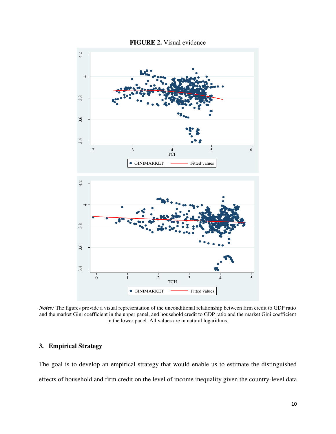

**FIGURE 2.** Visual evidence

*Notes:* The figures provide a visual representation of the unconditional relationship between firm credit to GDP ratio and the market Gini coefficient in the upper panel, and household credit to GDP ratio and the market Gini coefficient in the lower panel. All values are in natural logarithms.

## **3. Empirical Strategy**

The goal is to develop an empirical strategy that would enable us to estimate the distinguished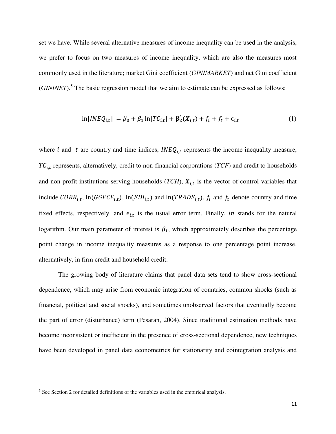set we have. While several alternative measures of income inequality can be used in the analysis, we prefer to focus on two measures of income inequality, which are also the measures most commonly used in the literature; market Gini coefficient (*GINIMARKET*) and net Gini coefficient (*GININET*).<sup>5</sup> The basic regression model that we aim to estimate can be expressed as follows:

$$
\ln[INEQ_{i,t}] = \beta_0 + \beta_1 \ln[TC_{i,t}] + \beta_2'(X_{i,t}) + f_i + f_t + \epsilon_{i,t}
$$
\n<sup>(1)</sup>

where *i* and *t* are country and time indices,  $INEQ_{i,t}$  represents the income inequality measure,  $TC_{i,t}$  represents, alternatively, credit to non-financial corporations ( $TCF$ ) and credit to households and non-profit institutions serving households (*TCH*),  $X_{i,t}$  is the vector of control variables that include  $CORR_{i,t}$ ,  $ln(GGFCE_{i,t})$ ,  $ln(FDI_{i,t})$  and  $ln(TRADE_{i,t})$ ,  $f_i$  and  $f_t$  denote country and time fixed effects, respectively, and  $\epsilon_{i,t}$  is the usual error term. Finally, *ln* stands for the natural logarithm. Our main parameter of interest is  $\beta_1$ , which approximately describes the percentage point change in income inequality measures as a response to one percentage point increase, alternatively, in firm credit and household credit.

The growing body of literature claims that panel data sets tend to show cross-sectional dependence, which may arise from economic integration of countries, common shocks (such as financial, political and social shocks), and sometimes unobserved factors that eventually become the part of error (disturbance) term (Pesaran, 2004). Since traditional estimation methods have become inconsistent or inefficient in the presence of cross-sectional dependence, new techniques have been developed in panel data econometrics for stationarity and cointegration analysis and

 $\overline{a}$ 

<sup>&</sup>lt;sup>5</sup> See Section 2 for detailed definitions of the variables used in the empirical analysis.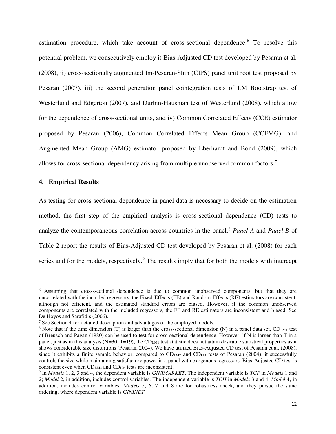estimation procedure, which take account of cross-sectional dependence.<sup>6</sup> To resolve this potential problem, we consecutively employ i) Bias-Adjusted CD test developed by Pesaran et al. (2008), ii) cross-sectionally augmented Im-Pesaran-Shin (CIPS) panel unit root test proposed by Pesaran (2007), iii) the second generation panel cointegration tests of LM Bootstrap test of Westerlund and Edgerton (2007), and Durbin-Hausman test of Westerlund (2008), which allow for the dependence of cross-sectional units, and iv) Common Correlated Effects (CCE) estimator proposed by Pesaran (2006), Common Correlated Effects Mean Group (CCEMG), and Augmented Mean Group (AMG) estimator proposed by Eberhardt and Bond (2009), which allows for cross-sectional dependency arising from multiple unobserved common factors.<sup>7</sup>

## **4. Empirical Results**

l

As testing for cross-sectional dependence in panel data is necessary to decide on the estimation method, the first step of the empirical analysis is cross-sectional dependence (CD) tests to analyze the contemporaneous correlation across countries in the panel.<sup>8</sup> *Panel A* and *Panel B* of Table 2 report the results of Bias-Adjusted CD test developed by Pesaran et al. (2008) for each series and for the models, respectively.<sup>9</sup> The results imply that for both the models with intercept

<sup>&</sup>lt;sup>6</sup> Assuming that cross-sectional dependence is due to common unobserved components, but that they are uncorrelated with the included regressors, the Fixed-Effects (FE) and Random-Effects (RE) estimators are consistent, although not efficient, and the estimated standard errors are biased. However, if the common unobserved components are correlated with the included regressors, the FE and RE estimators are inconsistent and biased. See De Hoyos and Sarafidis (2006).

<sup>&</sup>lt;sup>7</sup> See Section 4 for detailed description and advantages of the employed models.

 $8$  Note that if the time dimension (T) is larger than the cross-sectional dimension (N) in a panel data set, CD<sub>LM1</sub> test of Breusch and Pagan (1980) can be used to test for cross-sectional dependence. However, if N is larger than T in a panel, just as in this analysis ( $N=30$ ,  $T=19$ ), the CD<sub>LM1</sub> test statistic does not attain desirable statistical properties as it shows considerable size distortions (Pesaran, 2004). We have utilized Bias-Adjusted CD test of Pesaran et al. (2008), since it exhibits a finite sample behavior, compared to CD<sub>LM2</sub> and CD<sub>LM</sub> tests of Pesaran (2004); it successfully controls the size while maintaining satisfactory power in a panel with exogenous regressors. Bias-Adjusted CD test is consistent even when CDLM2 and CDLM tests are inconsistent.

<sup>9</sup> In *Models* 1, 2, 3 and 4, the dependent variable is *GINIMARKET*. The independent variable is *TCF* in *Models* 1 and 2; *Model* 2, in addition, includes control variables. The independent variable is *TCH* in *Models* 3 and 4; *Model* 4, in addition, includes control variables. *Models* 5, 6, 7 and 8 are for robustness check, and they pursue the same ordering, where dependent variable is *GININET*.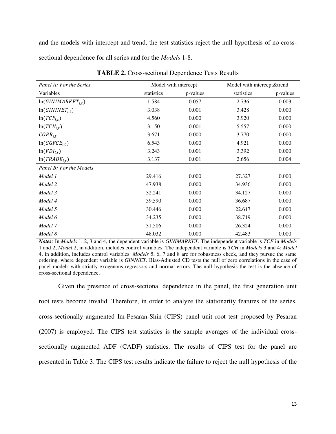and the models with intercept and trend, the test statistics reject the null hypothesis of no crosssectional dependence for all series and for the *Models* 1-8.

| Panel A: For the Series | Model with intercept |          | Model with intercept&trend |          |
|-------------------------|----------------------|----------|----------------------------|----------|
| Variables               | statistics           | p-values | statistics                 | p-values |
| $ln(GINIMARKET_{i,t})$  | 1.584                | 0.057    | 2.736                      | 0.003    |
| $ln(GININET_{i,t})$     | 3.038                | 0.001    | 3.428                      | 0.000    |
| $ln(TCF_{i,t})$         | 4.560                | 0.000    | 3.920                      | 0.000    |
| $ln(TCH_{i.t})$         | 3.150                | 0.001    | 5.557                      | 0.000    |
| $CORR_{i,t}$            | 3.671                | 0.000    | 3.770                      | 0.000    |
| $ln(GGFCE_{i,t})$       | 6.543                | 0.000    | 4.921                      | 0.000    |
| $ln(FDI_{i,t})$         | 3.243                | 0.001    | 3.392                      | 0.000    |
| $ln(TRADE_{i,t})$       | 3.137                | 0.001    | 2.656                      | 0.004    |
| Panel B: For the Models |                      |          |                            |          |
| Model 1                 | 29.416               | 0.000    | 27.327                     | 0.000    |
| Model 2                 | 47.938               | 0.000    | 34.936                     | 0.000    |
| Model 3                 | 32.241               | 0.000    | 34.127                     | 0.000    |
| Model 4                 | 39.590               | 0.000    | 36.687                     | 0.000    |
| Model 5                 | 30.446               | 0.000    | 22.617                     | 0.000    |
| Model 6                 | 34.235               | 0.000    | 38.719                     | 0.000    |
| Model 7                 | 31.506               | 0.000    | 26.324                     | 0.000    |
| Model 8                 | 48.032               | 0.000    | 42.483                     | 0.000    |

**TABLE 2.** Cross-sectional Dependence Tests Results

*Notes:* In *Models* 1, 2, 3 and 4, the dependent variable is *GINIMARKET*. The independent variable is *TCF* in *Models* 1 and 2; *Model* 2, in addition, includes control variables. The independent variable is *TCH* in *Models* 3 and 4; *Model* 4, in addition, includes control variables. *Models* 5, 6, 7 and 8 are for robustness check, and they pursue the same ordering, where dependent variable is *GININET*. Bias-Adjusted CD tests the null of zero correlations in the case of panel models with strictly exogenous regressors and normal errors. The null hypothesis the test is the absence of cross-sectional dependence.

Given the presence of cross-sectional dependence in the panel, the first generation unit root tests become invalid. Therefore, in order to analyze the stationarity features of the series, cross-sectionally augmented Im-Pesaran-Shin (CIPS) panel unit root test proposed by Pesaran (2007) is employed. The CIPS test statistics is the sample averages of the individual crosssectionally augmented ADF (CADF) statistics. The results of CIPS test for the panel are presented in Table 3. The CIPS test results indicate the failure to reject the null hypothesis of the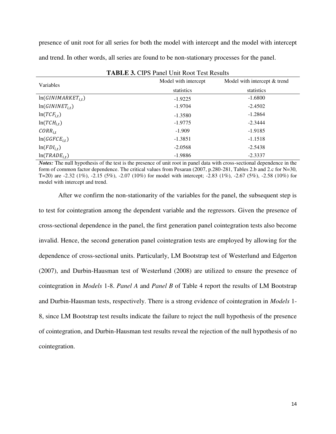presence of unit root for all series for both the model with intercept and the model with intercept and trend. In other words, all series are found to be non-stationary processes for the panel.

| <b>TABLE 3. CIPS Panel Unit Root Test Results</b> |                      |                              |  |  |
|---------------------------------------------------|----------------------|------------------------------|--|--|
| Variables                                         | Model with intercept | Model with intercept & trend |  |  |
|                                                   | statistics           | statistics                   |  |  |
| $ln(GINIMARKET_{i,t})$                            | $-1.9225$            | $-1.6800$                    |  |  |
| $ln(GININET_{i.t})$                               | $-1.9704$            | $-2.4502$                    |  |  |
| $ln(TCF_{i,t})$                                   | $-1.3580$            | $-1.2864$                    |  |  |
| $ln(TCH_{i,t})$                                   | $-1.9775$            | $-2.3444$                    |  |  |
| $CORR_{i.t}$                                      | $-1.909$             | $-1.9185$                    |  |  |
| $ln(GGFCE_{i,t})$                                 | $-1.3851$            | $-1.1518$                    |  |  |
| $ln(FDI_{i,t})$                                   | $-2.0568$            | $-2.5438$                    |  |  |
| $ln(TRADE_{i,t})$                                 | $-1.9886$            | $-2.3337$                    |  |  |

*Notes:* The null hypothesis of the test is the presence of unit root in panel data with cross-sectional dependence in the form of common factor dependence. The critical values from Pesaran (2007, p.280-281, Tables 2.b and 2.c for N=30, T=20) are -2.32 (1%), -2.15 (5%), -2.07 (10%) for model with intercept; -2.83 (1%), -2.67 (5%), -2.58 (10%) for model with intercept and trend.

After we confirm the non-stationarity of the variables for the panel, the subsequent step is to test for cointegration among the dependent variable and the regressors. Given the presence of cross-sectional dependence in the panel, the first generation panel cointegration tests also become invalid. Hence, the second generation panel cointegration tests are employed by allowing for the dependence of cross-sectional units. Particularly, LM Bootstrap test of Westerlund and Edgerton (2007), and Durbin-Hausman test of Westerlund (2008) are utilized to ensure the presence of cointegration in *Models* 1-8. *Panel A* and *Panel B* of Table 4 report the results of LM Bootstrap and Durbin-Hausman tests, respectively. There is a strong evidence of cointegration in *Models* 1- 8, since LM Bootstrap test results indicate the failure to reject the null hypothesis of the presence of cointegration, and Durbin-Hausman test results reveal the rejection of the null hypothesis of no cointegration.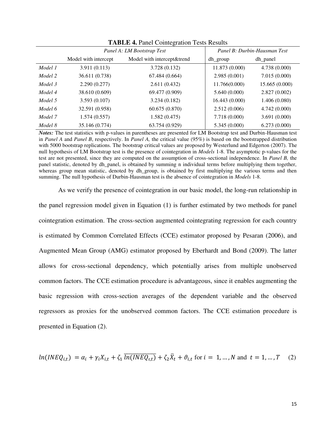|         | Panel A: LM Bootstrap Test |                            | Panel B: Durbin-Hausman Test |                |  |
|---------|----------------------------|----------------------------|------------------------------|----------------|--|
|         | Model with intercept       | Model with intercept&trend | dh group                     | dh_panel       |  |
| Model 1 | 3.911 (0.113)              | 3.728 (0.132)              | 11.873 (0.000)               | 4.738(0.000)   |  |
| Model 2 | 36.611 (0.738)             | 67.484 (0.664)             | 2.985(0.001)                 | 7.015(0.000)   |  |
| Model 3 | 2.290(0.277)               | 2.611(0.432)               | 11.766(0.000)                | 15.665 (0.000) |  |
| Model 4 | 38.610 (0.609)             | 69.477 (0.909)             | 5.640(0.000)                 | 2.827(0.002)   |  |
| Model 5 | 3.593(0.107)               | 3.234(0.182)               | 16.443 (0.000)               | 1.406(0.080)   |  |
| Model 6 | 32.591 (0.958)             | 60.675 (0.870)             | 2.512(0.006)                 | 4.742(0.000)   |  |
| Model 7 | 1.574(0.557)               | 1.582(0.475)               | 7.718 (0.000)                | 3.691(0.000)   |  |
| Model 8 | 35.146 (0.774)             | 63.754 (0.929)             | 5.345(0.000)                 | 6.273(0.000)   |  |

**TABLE 4.** Panel Cointegration Tests Results

*Notes:* The test statistics with p-values in parentheses are presented for LM Bootstrap test and Durbin-Hausman test in *Panel A* and *Panel B*, respectively. In *Panel A,* the critical value (95%) is based on the bootstrapped distribution with 5000 bootstrap replications. The bootstrap critical values are proposed by Westerlund and Edgerton (2007). The null hypothesis of LM Bootstrap test is the presence of cointegration in *Models* 1-8. The asymptotic p-values for the test are not presented, since they are computed on the assumption of cross-sectional independence. In *Panel B,* the panel statistic, denoted by dh\_panel, is obtained by summing n individual terms before multiplying them together, whereas group mean statistic, denoted by dh\_group, is obtained by first multiplying the various terms and then summing. The null hypothesis of Durbin-Hausman test is the absence of cointegration in *Models* 1-8.

As we verify the presence of cointegration in our basic model, the long-run relationship in

the panel regression model given in Equation (1) is further estimated by two methods for panel cointegration estimation. The cross-section augmented cointegrating regression for each country is estimated by Common Correlated Effects (CCE) estimator proposed by Pesaran (2006), and Augmented Mean Group (AMG) estimator proposed by Eberhardt and Bond (2009). The latter allows for cross-sectional dependency, which potentially arises from multiple unobserved common factors. The CCE estimation procedure is advantageous, since it enables augmenting the basic regression with cross-section averages of the dependent variable and the observed regressors as proxies for the unobserved common factors. The CCE estimation procedure is presented in Equation (2).

$$
ln(INEQ_{i,t}) = \alpha_i + \gamma_i X_{i,t} + \zeta_1 \overline{ln(INEQ_{i,t})} + \zeta_2 \overline{X}_t + \vartheta_{i,t} \text{ for } i = 1, ..., N \text{ and } t = 1, ..., T \quad (2)
$$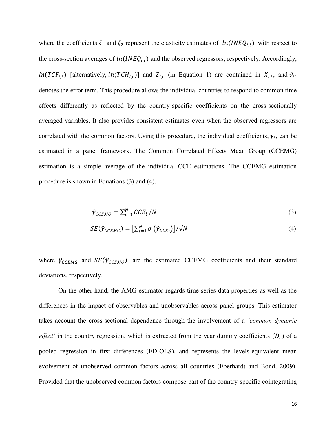where the coefficients  $\zeta_1$  and  $\zeta_2$  represent the elasticity estimates of  $ln(INEQ_{i,t})$  with respect to the cross-section averages of  $ln(INEQ_{i,t})$  and the observed regressors, respectively. Accordingly,  $ln(TCF_{i,t})$  [alternatively,  $ln(TCH_{i,t})$ ] and  $Z_{i,t}$  (in Equation 1) are contained in  $X_{i,t}$ , and  $\vartheta_{it}$ denotes the error term. This procedure allows the individual countries to respond to common time effects differently as reflected by the country-specific coefficients on the cross-sectionally averaged variables. It also provides consistent estimates even when the observed regressors are correlated with the common factors. Using this procedure, the individual coefficients,  $\gamma_i$ , can be estimated in a panel framework. The Common Correlated Effects Mean Group (CCEMG) estimation is a simple average of the individual CCE estimations. The CCEMG estimation procedure is shown in Equations (3) and (4).

$$
\hat{\gamma}_{CCEMG} = \sum_{i=1}^{N} CCE_i / N \tag{3}
$$

$$
SE(\hat{\gamma}_{CCEMG}) = \left[\sum_{i=1}^{N} \sigma\left(\hat{\gamma}_{CCE_i}\right)\right] / \sqrt{N} \tag{4}
$$

where  $\hat{\gamma}_{CCEMG}$  and  $SE(\hat{\gamma}_{CCEMG})$  are the estimated CCEMG coefficients and their standard deviations, respectively.

On the other hand, the AMG estimator regards time series data properties as well as the differences in the impact of observables and unobservables across panel groups. This estimator takes account the cross-sectional dependence through the involvement of a *'common dynamic effect'* in the country regression, which is extracted from the year dummy coefficients  $(D_t)$  of a pooled regression in first differences (FD-OLS), and represents the levels-equivalent mean evolvement of unobserved common factors across all countries (Eberhardt and Bond, 2009). Provided that the unobserved common factors compose part of the country-specific cointegrating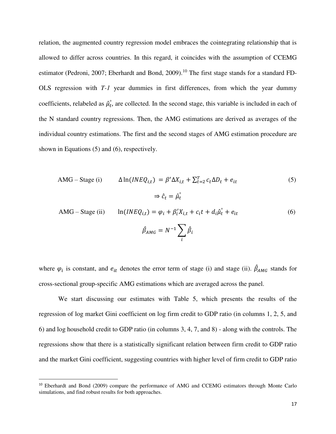relation, the augmented country regression model embraces the cointegrating relationship that is allowed to differ across countries. In this regard, it coincides with the assumption of CCEMG estimator (Pedroni, 2007; Eberhardt and Bond, 2009).<sup>10</sup> The first stage stands for a standard FD-OLS regression with *T-1* year dummies in first differences, from which the year dummy coefficients, relabeled as  $\hat{\mu}_t$ , are collected. In the second stage, this variable is included in each of the N standard country regressions. Then, the AMG estimations are derived as averages of the individual country estimations. The first and the second stages of AMG estimation procedure are shown in Equations (5) and (6), respectively.

$$
\text{AMG} - \text{Stage (i)} \qquad \Delta \ln(\text{INEQ}_{i,t}) = \beta' \Delta X_{i,t} + \sum_{t=2}^{T} c_t \Delta D_t + e_{it}
$$
\n
$$
\Rightarrow \hat{c}_t = \hat{\mu}_t^{\circ}
$$
\n(5)

AMG – Stage (ii) 
$$
\ln(INEQ_{i,t}) = \varphi_i + \beta'_i X_{i,t} + c_i t + d_i \hat{\mu}_t^{\circ} + e_{it}
$$
 (6)  

$$
\hat{\beta}_{AMG} = N^{-1} \sum_i \hat{\beta}_i
$$

where  $\varphi_i$  is constant, and  $e_{it}$  denotes the error term of stage (i) and stage (ii).  $\beta_{AMG}$  stands for cross-sectional group-specific AMG estimations which are averaged across the panel.

We start discussing our estimates with Table 5, which presents the results of the regression of log market Gini coefficient on log firm credit to GDP ratio (in columns 1, 2, 5, and 6) and log household credit to GDP ratio (in columns 3, 4, 7, and 8) - along with the controls. The regressions show that there is a statistically significant relation between firm credit to GDP ratio and the market Gini coefficient, suggesting countries with higher level of firm credit to GDP ratio

l

<sup>&</sup>lt;sup>10</sup> Eberhardt and Bond (2009) compare the performance of AMG and CCEMG estimators through Monte Carlo simulations, and find robust results for both approaches.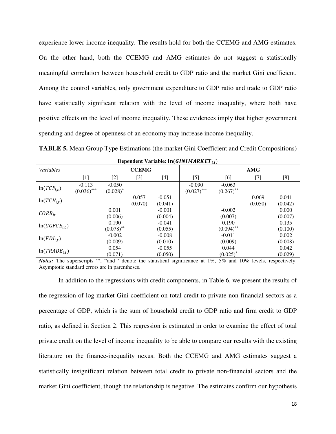experience lower income inequality. The results hold for both the CCEMG and AMG estimates. On the other hand, both the CCEMG and AMG estimates do not suggest a statistically meaningful correlation between household credit to GDP ratio and the market Gini coefficient. Among the control variables, only government expenditure to GDP ratio and trade to GDP ratio have statistically significant relation with the level of income inequality, where both have positive effects on the level of income inequality. These evidences imply that higher government spending and degree of openness of an economy may increase income inequality.

| <b>TABLE 5.</b> Mean Group Type Estimations (the market Gini Coefficient and Credit Compositions) |  |  |  |
|---------------------------------------------------------------------------------------------------|--|--|--|
|---------------------------------------------------------------------------------------------------|--|--|--|

| Dependent Variable: $ln(GINIMARKET_{it})$ |                           |                         |                  |                     |                           |                          |                  |                  |
|-------------------------------------------|---------------------------|-------------------------|------------------|---------------------|---------------------------|--------------------------|------------------|------------------|
| Variables                                 |                           |                         | <b>CCEMG</b>     |                     |                           |                          | AMG              |                  |
|                                           | $[1]$                     | [2]                     | $[3]$            | $[4]$               | $[5]$                     | [6]                      | $[7]$            | [8]              |
| $ln(TCF_{i,t})$                           | $-0.113$<br>$(0.036)$ *** | $-0.050$<br>$(0.028)^*$ |                  |                     | $-0.090$<br>$(0.027)$ *** | $-0.063$<br>$(0.267)$ ** |                  |                  |
| $ln(TCH_{i,t})$                           |                           |                         | 0.057<br>(0.070) | $-0.051$<br>(0.041) |                           |                          | 0.069<br>(0.050) | 0.041<br>(0.042) |
| $CORR_{it}$                               |                           | 0.001<br>(0.006)        |                  | $-0.001$<br>(0.004) |                           | $-0.002$<br>(0.007)      |                  | 0.000<br>(0.007) |
| $ln(GGFCE_{i,t})$                         |                           | 0.190<br>$(0.078)$ **   |                  | $-0.041$<br>(0.055) |                           | 0.190<br>$(0.094)$ **    |                  | 0.135<br>(0.100) |
| $ln(FDI_{i,t})$                           |                           | $-0.002$<br>(0.009)     |                  | $-0.008$<br>(0.010) |                           | $-0.011$<br>(0.009)      |                  | 0.002<br>(0.008) |
| $ln(TRADE_{i,t})$                         |                           | 0.054<br>(0.071)        |                  | $-0.055$<br>(0.050) |                           | 0.044<br>$(0.025)^*$     |                  | 0.042<br>(0.029) |

Notes: The superscripts \*\*\*, \*\* and \* denote the statistical significance at 1%, 5% and 10% levels, respectively. Asymptotic standard errors are in parentheses.

In addition to the regressions with credit components, in Table 6, we present the results of the regression of log market Gini coefficient on total credit to private non-financial sectors as a percentage of GDP, which is the sum of household credit to GDP ratio and firm credit to GDP ratio, as defined in Section 2. This regression is estimated in order to examine the effect of total private credit on the level of income inequality to be able to compare our results with the existing literature on the finance-inequality nexus. Both the CCEMG and AMG estimates suggest a statistically insignificant relation between total credit to private non-financial sectors and the market Gini coefficient, though the relationship is negative. The estimates confirm our hypothesis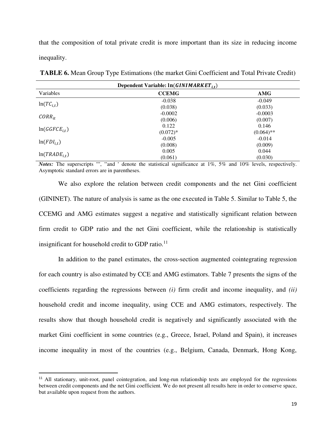that the composition of total private credit is more important than its size in reducing income inequality.

| Dependent Variable: $ln(GINIMARKET_{it})$ |              |              |  |  |
|-------------------------------------------|--------------|--------------|--|--|
| Variables                                 | <b>CCEMG</b> | <b>AMG</b>   |  |  |
|                                           | $-0.038$     | $-0.049$     |  |  |
| $ln(TC_{i,t})$                            | (0.038)      | (0.033)      |  |  |
|                                           | $-0.0002$    | $-0.0003$    |  |  |
| $CORR_{it}$                               | (0.006)      | (0.007)      |  |  |
|                                           | 0.122        | 0.146        |  |  |
| $ln(GGFCE_{it})$                          | $(0.072)*$   | $(0.064)$ ** |  |  |
|                                           | $-0.005$     | $-0.014$     |  |  |
| $ln(FDI_{i,t})$                           | (0.008)      | (0.009)      |  |  |
| $ln(TRADE_{i,t})$                         | 0.005        | 0.044        |  |  |
|                                           | (0.061)      | (0.030)      |  |  |

**TABLE 6.** Mean Group Type Estimations (the market Gini Coefficient and Total Private Credit)

Notes: The superscripts \*\*\*, \*\* and \* denote the statistical significance at 1%, 5% and 10% levels, respectively. Asymptotic standard errors are in parentheses.

We also explore the relation between credit components and the net Gini coefficient (GININET). The nature of analysis is same as the one executed in Table 5. Similar to Table 5, the CCEMG and AMG estimates suggest a negative and statistically significant relation between firm credit to GDP ratio and the net Gini coefficient, while the relationship is statistically insignificant for household credit to GDP ratio. $^{11}$ 

In addition to the panel estimates, the cross-section augmented cointegrating regression for each country is also estimated by CCE and AMG estimators. Table 7 presents the signs of the coefficients regarding the regressions between *(i)* firm credit and income inequality, and *(ii)*  household credit and income inequality, using CCE and AMG estimators, respectively. The results show that though household credit is negatively and significantly associated with the market Gini coefficient in some countries (e.g., Greece, Israel, Poland and Spain), it increases income inequality in most of the countries (e.g., Belgium, Canada, Denmark, Hong Kong,

 $\overline{a}$ 

<sup>&</sup>lt;sup>11</sup> All stationary, unit-root, panel cointegration, and long-run relationship tests are employed for the regressions between credit components and the net Gini coefficient. We do not present all results here in order to conserve space, but available upon request from the authors.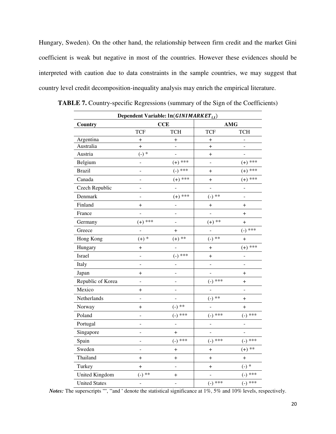Hungary, Sweden). On the other hand, the relationship between firm credit and the market Gini coefficient is weak but negative in most of the countries. However these evidences should be interpreted with caution due to data constraints in the sample countries, we may suggest that country level credit decomposition-inequality analysis may enrich the empirical literature.

| Dependent Variable: $ln(GINIMARKET_{i,t})$ |                          |                              |                          |                              |  |  |
|--------------------------------------------|--------------------------|------------------------------|--------------------------|------------------------------|--|--|
| Country                                    | <b>CCE</b>               |                              |                          | <b>AMG</b>                   |  |  |
|                                            | <b>TCF</b>               | <b>TCH</b>                   | <b>TCF</b>               | <b>TCH</b>                   |  |  |
| Argentina                                  | $\boldsymbol{+}$         | $\,^+$                       | $\boldsymbol{+}$         | $\frac{1}{2}$                |  |  |
| Australia                                  | $^{+}$                   | $\overline{\phantom{0}}$     | $\pmb{+}$                | $\overline{a}$               |  |  |
| Austria                                    | $(-) *$                  | $\overline{\phantom{0}}$     | $^{+}$                   | $\overline{a}$               |  |  |
| Belgium                                    | -                        | $(+)$ ***                    |                          | $(+)$ ***                    |  |  |
| <b>Brazil</b>                              | $\overline{a}$           | $(-)$ ***                    | $\ddot{}$                | $(+)$ ***                    |  |  |
| Canada                                     | $\overline{a}$           | $(+)$ ***                    | $\ddot{}$                | $(+)$ ***                    |  |  |
| Czech Republic                             | -                        | $\overline{a}$               | $\overline{a}$           | $\overline{a}$               |  |  |
| Denmark                                    | -                        | $(+)$ ***                    | $(-)$ **                 | -                            |  |  |
| Finland                                    | $\boldsymbol{+}$         | $\overline{\phantom{0}}$     | $\,^+$                   | $\ddot{}$                    |  |  |
| France                                     |                          | $\overline{a}$               | $\overline{a}$           | $^{+}$                       |  |  |
| Germany                                    | $(+)$ ***                | $\overline{a}$               | $(+)$ **                 | $^{+}$                       |  |  |
| Greece                                     | $\overline{a}$           | $\ddot{}$                    | $\overline{a}$           | ***<br>$(-)$                 |  |  |
| Hong Kong                                  | $(+)$ *                  | $(+)$ **                     | $(-)$ **                 | $\overline{+}$               |  |  |
| Hungary                                    | $^{+}$                   | $\overline{a}$               | $^{+}$                   | $(+)$ ***                    |  |  |
| Israel                                     | ÷,                       | ***<br>$\left( -\right)$     | $^{+}$                   | ÷                            |  |  |
| Italy                                      | $\overline{a}$           | ÷                            | $\overline{a}$           | $\qquad \qquad \blacksquare$ |  |  |
| Japan                                      | $\,{}^+$                 | -                            | -                        | $\pmb{+}$                    |  |  |
| Republic of Korea                          | ÷,                       | -                            | $(-)$ ***                | $\ddot{}$                    |  |  |
| Mexico                                     | $\boldsymbol{+}$         | $\overline{\phantom{0}}$     | $\overline{a}$           | $\blacksquare$               |  |  |
| Netherlands                                | $\overline{\phantom{0}}$ | $\qquad \qquad \blacksquare$ | $(-)$ **                 | $^{+}$                       |  |  |
| Norway                                     | $^{+}$                   | $(-)$ **                     | $\overline{a}$           | $^{+}$                       |  |  |
| Poland                                     | ÷                        | ***<br>$\left( -\right)$     | ***<br>$(-)$             | ***<br>$(-)$                 |  |  |
| Portugal                                   | $\overline{a}$           | $\overline{a}$               | $\overline{a}$           | $\overline{a}$               |  |  |
| Singapore                                  | ÷                        | $\ddot{}$                    | $\overline{\phantom{0}}$ | $\qquad \qquad \blacksquare$ |  |  |
| Spain                                      | ÷                        | $***$<br>$(-)$               | $(-)$ ***                | ***<br>$\left( -\right)$     |  |  |
| Sweden                                     | $\overline{a}$           | $^{+}$                       | $\ddot{}$                | $(+)$ **                     |  |  |
| Thailand                                   | $\boldsymbol{+}$         | $\ddot{}$                    | $\ddot{}$                | $\ddot{}$                    |  |  |
| Turkey                                     | $\overline{+}$           | $\overline{a}$               | $\ddag$                  | $(-) *$                      |  |  |
| United Kingdom                             | $(-)$ **                 | $\pmb{+}$                    | $\overline{a}$           | $(-)$ ***                    |  |  |
| <b>United States</b>                       | $\overline{\phantom{0}}$ | $\overline{a}$               | $(-)$ ***                | $(-)$ ***                    |  |  |

**TABLE 7.** Country-specific Regressions (summary of the Sign of the Coefficients)

Notes: The superscripts \*\*\*, \*\* and \* denote the statistical significance at  $1\%$ , 5% and  $10\%$  levels, respectively.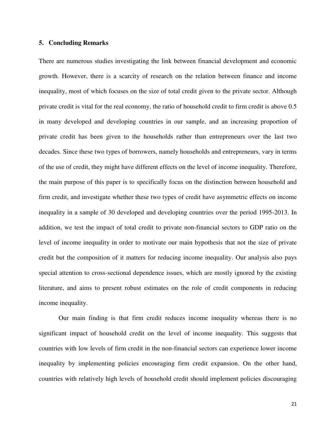#### **5. Concluding Remarks**

There are numerous studies investigating the link between financial development and economic growth. However, there is a scarcity of research on the relation between finance and income inequality, most of which focuses on the size of total credit given to the private sector. Although private credit is vital for the real economy, the ratio of household credit to firm credit is above 0.5 in many developed and developing countries in our sample, and an increasing proportion of private credit has been given to the households rather than entrepreneurs over the last two decades. Since these two types of borrowers, namely households and entrepreneurs, vary in terms of the use of credit, they might have different effects on the level of income inequality. Therefore, the main purpose of this paper is to specifically focus on the distinction between household and firm credit, and investigate whether these two types of credit have asymmetric effects on income inequality in a sample of 30 developed and developing countries over the period 1995-2013. In addition, we test the impact of total credit to private non-financial sectors to GDP ratio on the level of income inequality in order to motivate our main hypothesis that not the size of private credit but the composition of it matters for reducing income inequality. Our analysis also pays special attention to cross-sectional dependence issues, which are mostly ignored by the existing literature, and aims to present robust estimates on the role of credit components in reducing income inequality.

Our main finding is that firm credit reduces income inequality whereas there is no significant impact of household credit on the level of income inequality. This suggests that countries with low levels of firm credit in the non-financial sectors can experience lower income inequality by implementing policies encouraging firm credit expansion. On the other hand, countries with relatively high levels of household credit should implement policies discouraging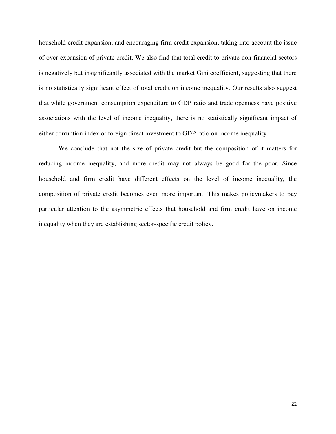household credit expansion, and encouraging firm credit expansion, taking into account the issue of over-expansion of private credit. We also find that total credit to private non-financial sectors is negatively but insignificantly associated with the market Gini coefficient, suggesting that there is no statistically significant effect of total credit on income inequality. Our results also suggest that while government consumption expenditure to GDP ratio and trade openness have positive associations with the level of income inequality, there is no statistically significant impact of either corruption index or foreign direct investment to GDP ratio on income inequality.

We conclude that not the size of private credit but the composition of it matters for reducing income inequality, and more credit may not always be good for the poor. Since household and firm credit have different effects on the level of income inequality, the composition of private credit becomes even more important. This makes policymakers to pay particular attention to the asymmetric effects that household and firm credit have on income inequality when they are establishing sector-specific credit policy.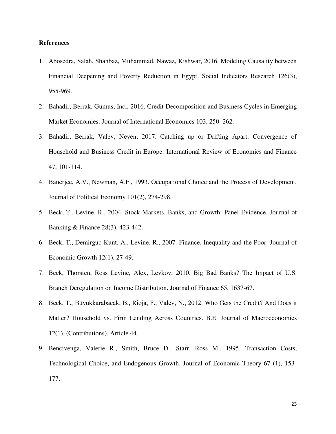#### **References**

- 1. Abosedra, Salah, Shahbaz, Muhammad, Nawaz, Kishwar, 2016. Modeling Causality between Financial Deepening and Poverty Reduction in Egypt. Social Indicators Research 126(3), 955-969.
- 2. Bahadir, Berrak, Gumus, Inci, 2016. Credit Decomposition and Business Cycles in Emerging Market Economies. Journal of International Economics 103, 250–262.
- 3. Bahadir, Berrak, Valev, Neven, 2017. Catching up or Drifting Apart: Convergence of Household and Business Credit in Europe. International Review of Economics and Finance 47, 101-114.
- 4. Banerjee, A.V., Newman, A.F., 1993. Occupational Choice and the Process of Development. Journal of Political Economy 101(2), 274-298.
- 5. Beck, T., Levine, R., 2004. Stock Markets, Banks, and Growth: Panel Evidence. Journal of Banking & Finance 28(3), 423-442.
- 6. Beck, T., Demirguc-Kunt, A., Levine, R., 2007. Finance, Inequality and the Poor. Journal of Economic Growth 12(1), 27-49.
- 7. Beck, Thorsten, Ross Levine, Alex, Levkov, 2010. Big Bad Banks? The Impact of U.S. Branch Deregulation on Income Distribution. Journal of Finance 65, 1637-67.
- 8. Beck, T., Büyükkarabacak, B., Rioja, F., Valev, N., 2012. Who Gets the Credit? And Does it Matter? Household vs. Firm Lending Across Countries. B.E. Journal of Macroeconomics 12(1). (Contributions), Article 44.
- 9. Bencivenga, Valerie R., Smith, Bruce D., Starr, Ross M., 1995. Transaction Costs, Technological Choice, and Endogenous Growth. Journal of Economic Theory 67 (1), 153- 177.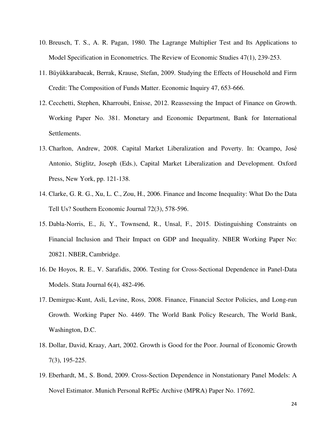- 10. Breusch, T. S., A. R. Pagan, 1980. The Lagrange Multiplier Test and Its Applications to Model Specification in Econometrics. The Review of Economic Studies 47(1), 239-253.
- 11. Büyükkarabacak, Berrak, Krause, Stefan, 2009. Studying the Effects of Household and Firm Credit: The Composition of Funds Matter. Economic Inquiry 47, 653-666.
- 12. Cecchetti, Stephen, Kharroubi, Enisse, 2012. Reassessing the Impact of Finance on Growth. Working Paper No. 381. Monetary and Economic Department, Bank for International Settlements.
- 13. Charlton, Andrew, 2008. Capital Market Liberalization and Poverty. In: Ocampo, José Antonio, Stiglitz, Joseph (Eds.), Capital Market Liberalization and Development. Oxford Press, New York, pp. 121-138.
- 14. Clarke, G. R. G., Xu, L. C., Zou, H., 2006. Finance and Income Inequality: What Do the Data Tell Us? Southern Economic Journal 72(3), 578-596.
- 15. Dabla-Norris, E., Ji, Y., Townsend, R., Unsal, F., 2015. Distinguishing Constraints on Financial Inclusion and Their Impact on GDP and Inequality. NBER Working Paper No: 20821. NBER, Cambridge.
- 16. De Hoyos, R. E., V. Sarafidis, 2006. Testing for Cross-Sectional Dependence in Panel-Data Models. Stata Journal 6(4), 482-496.
- 17. Demirguc-Kunt, Asli, Levine, Ross, 2008. Finance, Financial Sector Policies, and Long-run Growth. Working Paper No. 4469. The World Bank Policy Research, The World Bank, Washington, D.C.
- 18. Dollar, David, Kraay, Aart, 2002. Growth is Good for the Poor. Journal of Economic Growth 7(3), 195-225.
- 19. Eberhardt, M., S. Bond, 2009. Cross-Section Dependence in Nonstationary Panel Models: A Novel Estimator. Munich Personal RePEc Archive (MPRA) Paper No. 17692.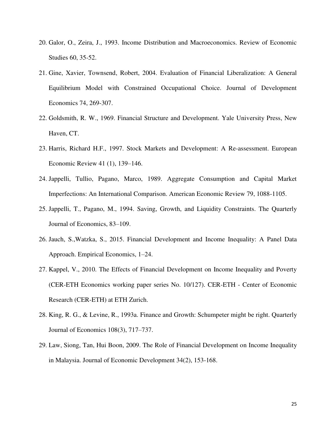- 20. Galor, O., Zeira, J., 1993. Income Distribution and Macroeconomics. Review of Economic Studies 60, 35-52.
- 21. Gine, Xavier, Townsend, Robert, 2004. Evaluation of Financial Liberalization: A General Equilibrium Model with Constrained Occupational Choice. Journal of Development Economics 74, 269-307.
- 22. Goldsmith, R. W., 1969. Financial Structure and Development. Yale University Press, New Haven, CT.
- 23. Harris, Richard H.F., 1997. Stock Markets and Development: A Re-assessment. European Economic Review 41 (1), 139–146.
- 24. Jappelli, Tullio, Pagano, Marco, 1989. Aggregate Consumption and Capital Market Imperfections: An International Comparison. American Economic Review 79, 1088-1105.
- 25. Jappelli, T., Pagano, M., 1994. Saving, Growth, and Liquidity Constraints. The Quarterly Journal of Economics, 83–109.
- 26. Jauch, S.,Watzka, S., 2015. Financial Development and Income Inequality: A Panel Data Approach. Empirical Economics, 1–24.
- 27. Kappel, V., 2010. The Effects of Financial Development on Income Inequality and Poverty (CER-ETH Economics working paper series No. 10/127). CER-ETH - Center of Economic Research (CER-ETH) at ETH Zurich.
- 28. King, R. G., & Levine, R., 1993a. Finance and Growth: Schumpeter might be right. Quarterly Journal of Economics 108(3), 717–737.
- 29. Law, Siong, Tan, Hui Boon, 2009. The Role of Financial Development on Income Inequality in Malaysia. Journal of Economic Development 34(2), 153-168.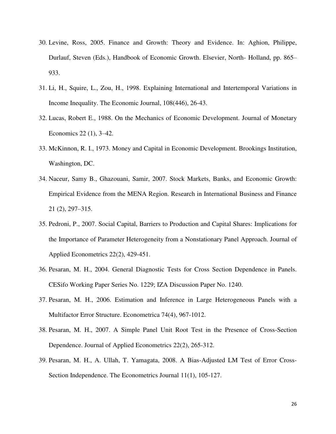- 30. Levine, Ross, 2005. Finance and Growth: Theory and Evidence. In: Aghion, Philippe, Durlauf, Steven (Eds.), Handbook of Economic Growth. Elsevier, North- Holland, pp. 865– 933.
- 31. Li, H., Squire, L., Zou, H., 1998. Explaining International and Intertemporal Variations in Income Inequality. The Economic Journal, 108(446), 26-43.
- 32. Lucas, Robert E., 1988. On the Mechanics of Economic Development. Journal of Monetary Economics 22 (1), 3–42.
- 33. McKinnon, R. I., 1973. Money and Capital in Economic Development. Brookings Institution, Washington, DC.
- 34. Naceur, Samy B., Ghazouani, Samir, 2007. Stock Markets, Banks, and Economic Growth: Empirical Evidence from the MENA Region. Research in International Business and Finance 21 (2), 297–315.
- 35. Pedroni, P., 2007. Social Capital, Barriers to Production and Capital Shares: Implications for the Importance of Parameter Heterogeneity from a Nonstationary Panel Approach. Journal of Applied Econometrics 22(2), 429-451.
- 36. Pesaran, M. H., 2004. General Diagnostic Tests for Cross Section Dependence in Panels. CESifo Working Paper Series No. 1229; IZA Discussion Paper No. 1240.
- 37. Pesaran, M. H., 2006. Estimation and Inference in Large Heterogeneous Panels with a Multifactor Error Structure. Econometrica 74(4), 967-1012.
- 38. Pesaran, M. H., 2007. A Simple Panel Unit Root Test in the Presence of Cross-Section Dependence. Journal of Applied Econometrics 22(2), 265-312.
- 39. Pesaran, M. H., A. Ullah, T. Yamagata, 2008. A Bias-Adjusted LM Test of Error Cross-Section Independence. The Econometrics Journal 11(1), 105-127.